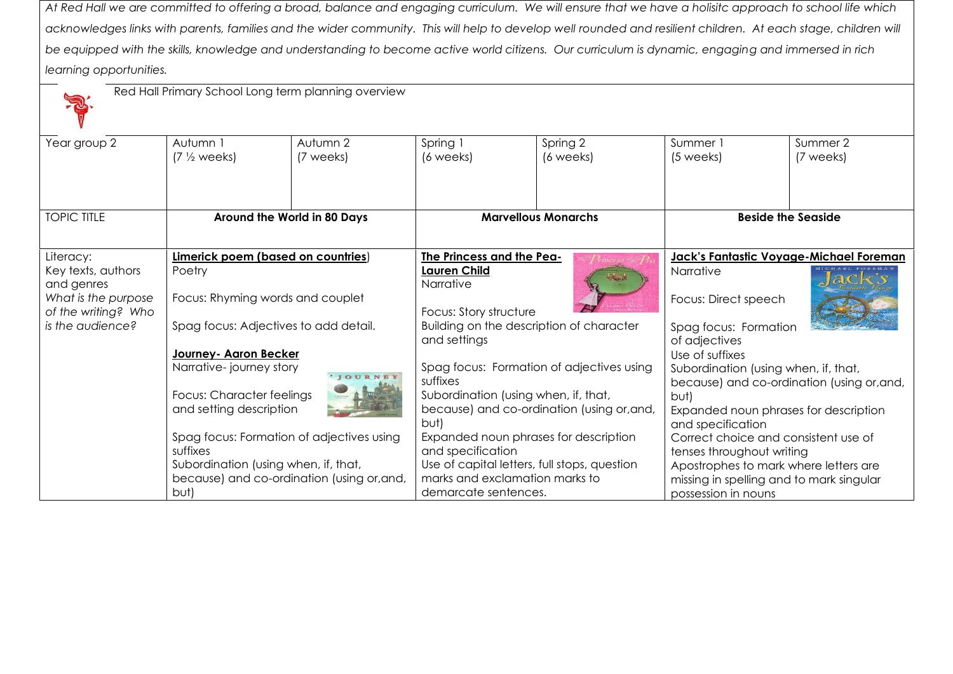*At Red Hall we are committed to offering a broad, balance and engaging curriculum. We will ensure that we have a holisitc approach to school life which*  acknowledges links with parents, families and the wider community. This will help to develop well rounded and resilient children. At each stage, children will *be equipped with the skills, knowledge and understanding to become active world citizens. Our curriculum is dynamic, engaging and immersed in rich learning opportunities.*

|                                                          | Red Hall Primary School Long term planning overview                                        |                                            |                                                                                                                                                     |                                              |                                                                                                                                                          |           |
|----------------------------------------------------------|--------------------------------------------------------------------------------------------|--------------------------------------------|-----------------------------------------------------------------------------------------------------------------------------------------------------|----------------------------------------------|----------------------------------------------------------------------------------------------------------------------------------------------------------|-----------|
| Year group 2                                             | Autumn 1                                                                                   | Autumn 2                                   | Spring 1                                                                                                                                            | Spring 2                                     | Summer 1                                                                                                                                                 | Summer 2  |
|                                                          | $(7 \frac{1}{2} \text{ weeks})$                                                            | (7 weeks)                                  | (6 weeks)                                                                                                                                           | (6 weeks)                                    | (5 weeks)                                                                                                                                                | (7 weeks) |
| <b>TOPIC TITLE</b>                                       |                                                                                            | Around the World in 80 Days                |                                                                                                                                                     | <b>Marvellous Monarchs</b>                   | <b>Beside the Seaside</b>                                                                                                                                |           |
|                                                          |                                                                                            |                                            |                                                                                                                                                     |                                              |                                                                                                                                                          |           |
| Literacy:                                                | Limerick poem (based on countries)                                                         |                                            | The Princess and the Pea-                                                                                                                           |                                              | Jack's Fantastic Voyage-Michael Foreman                                                                                                                  |           |
| Key texts, authors                                       | Poetry<br>Focus: Rhyming words and couplet<br>Spag focus: Adjectives to add detail.        |                                            | <b>Lauren Child</b>                                                                                                                                 |                                              | Narrative                                                                                                                                                |           |
| and genres<br>What is the purpose<br>of the writing? Who |                                                                                            |                                            | Narrative<br>Focus: Story structure                                                                                                                 |                                              | Focus: Direct speech                                                                                                                                     |           |
| is the audience?                                         |                                                                                            |                                            | Building on the description of character<br>and settings                                                                                            |                                              | Spag focus: Formation<br>of adjectives                                                                                                                   |           |
|                                                          | Journey- Agron Becker                                                                      |                                            |                                                                                                                                                     |                                              | Use of suffixes                                                                                                                                          |           |
|                                                          | Narrative-journey story<br>IOURNEY<br>Focus: Character feelings<br>and setting description |                                            | Spag focus: Formation of adjectives using<br>suffixes<br>Subordination (using when, if, that,<br>because) and co-ordination (using or, and,<br>but) |                                              | Subordination (using when, if, that,<br>because) and co-ordination (using or, and,<br>but)<br>Expanded noun phrases for description<br>and specification |           |
|                                                          |                                                                                            |                                            |                                                                                                                                                     |                                              |                                                                                                                                                          |           |
|                                                          |                                                                                            |                                            |                                                                                                                                                     |                                              |                                                                                                                                                          |           |
|                                                          | Spag focus: Formation of adjectives using                                                  |                                            |                                                                                                                                                     | Expanded noun phrases for description        | Correct choice and consistent use of                                                                                                                     |           |
|                                                          | suffixes                                                                                   |                                            | and specification                                                                                                                                   |                                              | tenses throughout writing                                                                                                                                |           |
|                                                          | Subordination (using when, if, that,                                                       |                                            |                                                                                                                                                     | Use of capital letters, full stops, question | Apostrophes to mark where letters are                                                                                                                    |           |
|                                                          |                                                                                            | because) and co-ordination (using or, and, | marks and exclamation marks to                                                                                                                      |                                              | missing in spelling and to mark singular                                                                                                                 |           |
|                                                          | but)                                                                                       |                                            | demarcate sentences.                                                                                                                                |                                              | possession in nouns                                                                                                                                      |           |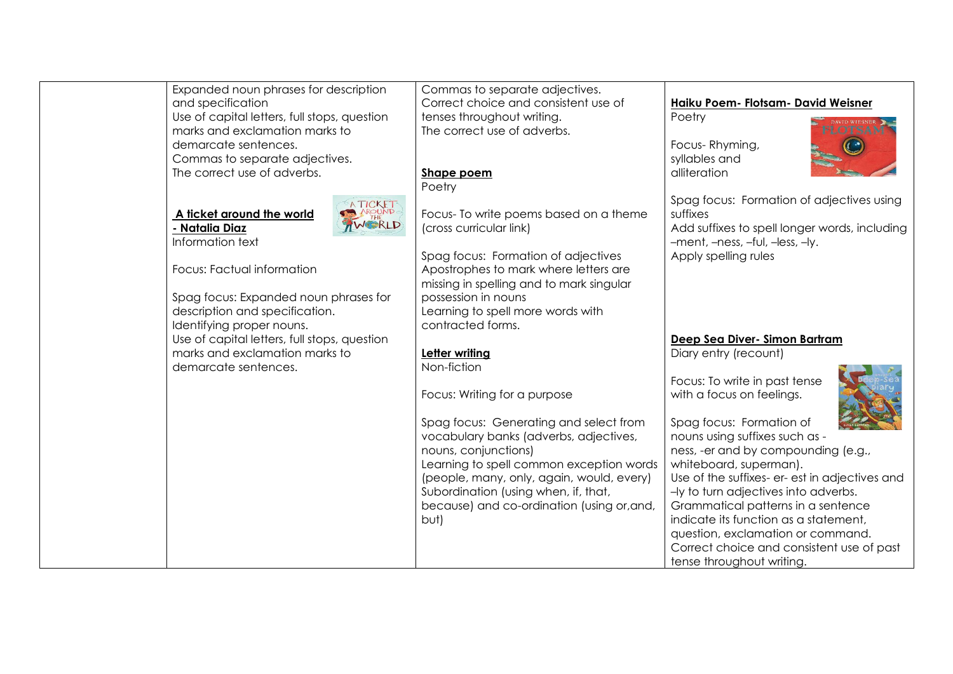| Expanded noun phrases for description        | Commas to separate adjectives.             |                                                |
|----------------------------------------------|--------------------------------------------|------------------------------------------------|
| and specification                            | Correct choice and consistent use of       | Haiku Poem- Flotsam- David Weisner             |
| Use of capital letters, full stops, question | tenses throughout writing.                 | Poetry                                         |
| marks and exclamation marks to               | The correct use of adverbs.                |                                                |
| demarcate sentences.                         |                                            | Focus-Rhyming,                                 |
| Commas to separate adjectives.               |                                            | syllables and                                  |
| The correct use of adverbs.                  | Shape poem                                 | alliteration                                   |
|                                              | Poetry                                     |                                                |
|                                              |                                            | Spag focus: Formation of adjectives using      |
| A TICKET<br>A ticket around the world        | Focus- To write poems based on a theme     | suffixes                                       |
|                                              |                                            |                                                |
| - Natalia Diaz                               | (cross curricular link)                    | Add suffixes to spell longer words, including  |
| Information text                             |                                            | -ment, -ness, -ful, -less, -ly.                |
|                                              | Spag focus: Formation of adjectives        | Apply spelling rules                           |
| Focus: Factual information                   | Apostrophes to mark where letters are      |                                                |
|                                              | missing in spelling and to mark singular   |                                                |
| Spag focus: Expanded noun phrases for        | possession in nouns                        |                                                |
| description and specification.               | Learning to spell more words with          |                                                |
| Identifying proper nouns.                    | contracted forms.                          |                                                |
| Use of capital letters, full stops, question |                                            | Deep Sea Diver- Simon Bartram                  |
| marks and exclamation marks to               | Letter writing                             | Diary entry (recount)                          |
| demarcate sentences.                         | Non-fiction                                |                                                |
|                                              |                                            | Focus: To write in past tense                  |
|                                              | Focus: Writing for a purpose               | with a focus on feelings.                      |
|                                              |                                            |                                                |
|                                              | Spag focus: Generating and select from     | Spag focus: Formation of                       |
|                                              | vocabulary banks (adverbs, adjectives,     | nouns using suffixes such as -                 |
|                                              | nouns, conjunctions)                       | ness, -er and by compounding (e.g.,            |
|                                              | Learning to spell common exception words   | whiteboard, superman).                         |
|                                              |                                            |                                                |
|                                              | (people, many, only, again, would, every)  | Use of the suffixes- er- est in adjectives and |
|                                              | Subordination (using when, if, that,       | -ly to turn adjectives into adverbs.           |
|                                              | because) and co-ordination (using or, and, | Grammatical patterns in a sentence             |
|                                              | but)                                       | indicate its function as a statement,          |
|                                              |                                            | question, exclamation or command.              |
|                                              |                                            | Correct choice and consistent use of past      |
|                                              |                                            | tense throughout writing.                      |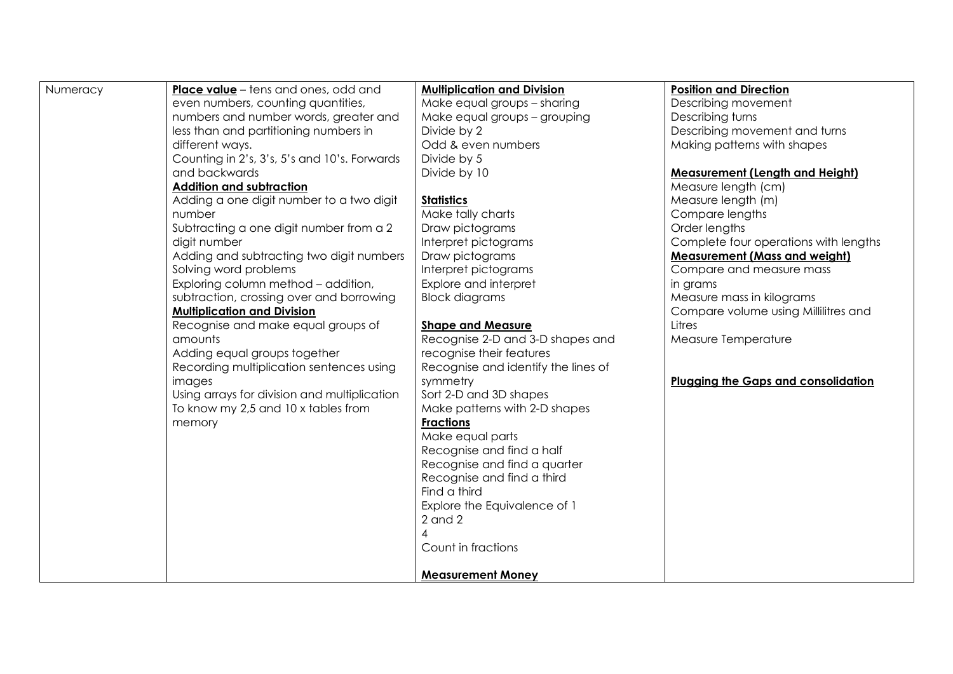| Numeracy | <b>Place value</b> – tens and ones, odd and  | <b>Multiplication and Division</b>  | <b>Position and Direction</b>              |
|----------|----------------------------------------------|-------------------------------------|--------------------------------------------|
|          | even numbers, counting quantities,           | Make equal groups - sharing         | Describing movement                        |
|          | numbers and number words, greater and        | Make equal groups - grouping        | Describing turns                           |
|          | less than and partitioning numbers in        | Divide by 2                         | Describing movement and turns              |
|          | different ways.                              | Odd & even numbers                  | Making patterns with shapes                |
|          | Counting in 2's, 3's, 5's and 10's. Forwards | Divide by 5                         |                                            |
|          | and backwards                                | Divide by 10                        | <b>Measurement (Length and Height)</b>     |
|          | <b>Addition and subtraction</b>              |                                     | Measure length (cm)                        |
|          | Adding a one digit number to a two digit     | <b>Statistics</b>                   | Measure length (m)                         |
|          | number                                       | Make tally charts                   | Compare lengths                            |
|          | Subtracting a one digit number from a 2      | Draw pictograms                     | Order lengths                              |
|          | digit number                                 | Interpret pictograms                | Complete four operations with lengths      |
|          | Adding and subtracting two digit numbers     | Draw pictograms                     | <b>Measurement (Mass and weight)</b>       |
|          | Solving word problems                        | Interpret pictograms                | Compare and measure mass                   |
|          | Exploring column method - addition,          | Explore and interpret               | in grams                                   |
|          | subtraction, crossing over and borrowing     | <b>Block diagrams</b>               | Measure mass in kilograms                  |
|          | <b>Multiplication and Division</b>           |                                     | Compare volume using Millilitres and       |
|          | Recognise and make equal groups of           | <b>Shape and Measure</b>            | Litres                                     |
|          | amounts                                      | Recognise 2-D and 3-D shapes and    | Measure Temperature                        |
|          | Adding equal groups together                 | recognise their features            |                                            |
|          | Recording multiplication sentences using     | Recognise and identify the lines of |                                            |
|          | images                                       | symmetry                            | <b>Plugging the Gaps and consolidation</b> |
|          | Using arrays for division and multiplication | Sort 2-D and 3D shapes              |                                            |
|          | To know my 2,5 and 10 x tables from          | Make patterns with 2-D shapes       |                                            |
|          | memory                                       | <b>Fractions</b>                    |                                            |
|          |                                              | Make equal parts                    |                                            |
|          |                                              | Recognise and find a half           |                                            |
|          |                                              | Recognise and find a quarter        |                                            |
|          |                                              | Recognise and find a third          |                                            |
|          |                                              | Find a third                        |                                            |
|          |                                              | Explore the Equivalence of 1        |                                            |
|          |                                              | $2$ and $2$                         |                                            |
|          |                                              | 4                                   |                                            |
|          |                                              | Count in fractions                  |                                            |
|          |                                              |                                     |                                            |
|          |                                              | <b>Measurement Money</b>            |                                            |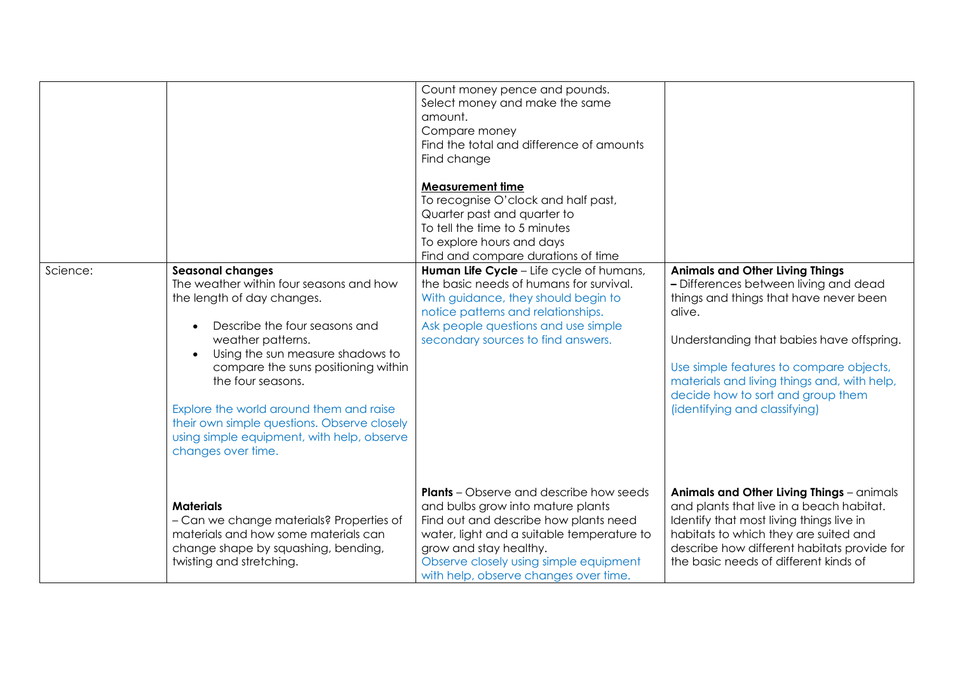|          |                                                                                                                                                                                                                                                                                                                                                                                                                                   | Count money pence and pounds.<br>Select money and make the same<br>amount.<br>Compare money<br>Find the total and difference of amounts<br>Find change<br><b>Measurement time</b><br>To recognise O'clock and half past,<br>Quarter past and quarter to<br>To tell the time to 5 minutes<br>To explore hours and days<br>Find and compare durations of time |                                                                                                                                                                                                                                                                                                                                                  |
|----------|-----------------------------------------------------------------------------------------------------------------------------------------------------------------------------------------------------------------------------------------------------------------------------------------------------------------------------------------------------------------------------------------------------------------------------------|-------------------------------------------------------------------------------------------------------------------------------------------------------------------------------------------------------------------------------------------------------------------------------------------------------------------------------------------------------------|--------------------------------------------------------------------------------------------------------------------------------------------------------------------------------------------------------------------------------------------------------------------------------------------------------------------------------------------------|
| Science: | <b>Seasonal changes</b><br>The weather within four seasons and how<br>the length of day changes.<br>Describe the four seasons and<br>$\bullet$<br>weather patterns.<br>Using the sun measure shadows to<br>compare the suns positioning within<br>the four seasons.<br>Explore the world around them and raise<br>their own simple questions. Observe closely<br>using simple equipment, with help, observe<br>changes over time. | Human Life Cycle - Life cycle of humans,<br>the basic needs of humans for survival.<br>With guidance, they should begin to<br>notice patterns and relationships.<br>Ask people questions and use simple<br>secondary sources to find answers.                                                                                                               | <b>Animals and Other Living Things</b><br>- Differences between living and dead<br>things and things that have never been<br>alive.<br>Understanding that babies have offspring.<br>Use simple features to compare objects,<br>materials and living things and, with help,<br>decide how to sort and group them<br>(identifying and classifying) |
|          | <b>Materials</b><br>- Can we change materials? Properties of<br>materials and how some materials can<br>change shape by squashing, bending,<br>twisting and stretching.                                                                                                                                                                                                                                                           | <b>Plants</b> – Observe and describe how seeds<br>and bulbs grow into mature plants<br>Find out and describe how plants need<br>water, light and a suitable temperature to<br>grow and stay healthy.<br>Observe closely using simple equipment<br>with help, observe changes over time.                                                                     | Animals and Other Living Things - animals<br>and plants that live in a beach habitat.<br>Identify that most living things live in<br>habitats to which they are suited and<br>describe how different habitats provide for<br>the basic needs of different kinds of                                                                               |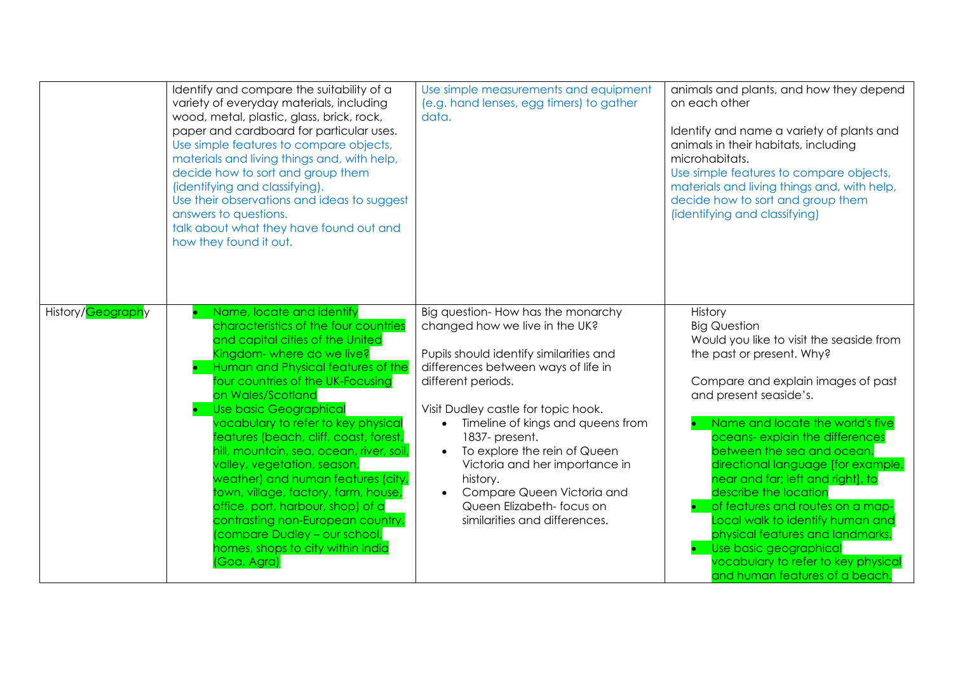|                   | Identify and compare the suitability of a<br>variety of everyday materials, including<br>wood, metal, plastic, glass, brick, rock,<br>paper and cardboard for particular uses.<br>Use simple features to compare objects,<br>materials and living things and, with help,<br>decide how to sort and group them<br>(identifying and classifying).<br>Use their observations and ideas to suggest<br>answers to questions.<br>talk about what they have found out and<br>how they found it out.                                                                                                                                                                                   | Use simple measurements and equipment<br>(e.g. hand lenses, egg timers) to gather<br>data.                                                                                                                                                                                                                                                                                                                                                         | animals and plants, and how they depend<br>on each other<br>Identify and name a variety of plants and<br>animals in their habitats, including<br>microhabitats.<br>Use simple features to compare objects,<br>materials and living things and, with help,<br>decide how to sort and group them<br>(identifying and classifying)                                                                                                                                                                                                                                                                 |
|-------------------|--------------------------------------------------------------------------------------------------------------------------------------------------------------------------------------------------------------------------------------------------------------------------------------------------------------------------------------------------------------------------------------------------------------------------------------------------------------------------------------------------------------------------------------------------------------------------------------------------------------------------------------------------------------------------------|----------------------------------------------------------------------------------------------------------------------------------------------------------------------------------------------------------------------------------------------------------------------------------------------------------------------------------------------------------------------------------------------------------------------------------------------------|-------------------------------------------------------------------------------------------------------------------------------------------------------------------------------------------------------------------------------------------------------------------------------------------------------------------------------------------------------------------------------------------------------------------------------------------------------------------------------------------------------------------------------------------------------------------------------------------------|
| History/Geography | Name, locate and identify<br>characteristics of the four countries<br>and capital cities of the United<br>Kingdom- where do we live?<br>Human and Physical features of the<br>four countries of the UK-Focusing<br>on Wales/Scotland<br><b>Use basic Geographical</b><br>vocabulary to refer to key physical<br>features (beach, cliff, coast, forest,<br>hill, mountain, sea, ocean, river, soil,<br>valley, vegetation, season,<br>weather) and human features (city,<br>town, village, factory, farm, house,<br>office, port, harbour, shop) of a<br>contrasting non-European country.<br>(compare Dudley - our school,<br>homes, shops to city within India<br>(Goa, Agra) | Big question-How has the monarchy<br>changed how we live in the UK?<br>Pupils should identify similarities and<br>differences between ways of life in<br>different periods.<br>Visit Dudley castle for topic hook.<br>Timeline of kings and queens from<br>1837-present.<br>To explore the rein of Queen<br>Victoria and her importance in<br>history.<br>Compare Queen Victoria and<br>Queen Elizabeth- focus on<br>similarities and differences. | History<br><b>Big Question</b><br>Would you like to visit the seaside from<br>the past or present. Why?<br>Compare and explain images of past<br>and present seaside's.<br>Name and locate the world's five<br>oceans- explain the differences<br>between the sea and ocean.<br>directional language [for example,<br>near and far; left and right], to<br>describe the location<br>of features and routes on a map-<br>Local walk to identify human and<br>physical features and landmarks.<br>Use basic geographical<br>vocabulary to refer to key physical<br>and human features of a beach. |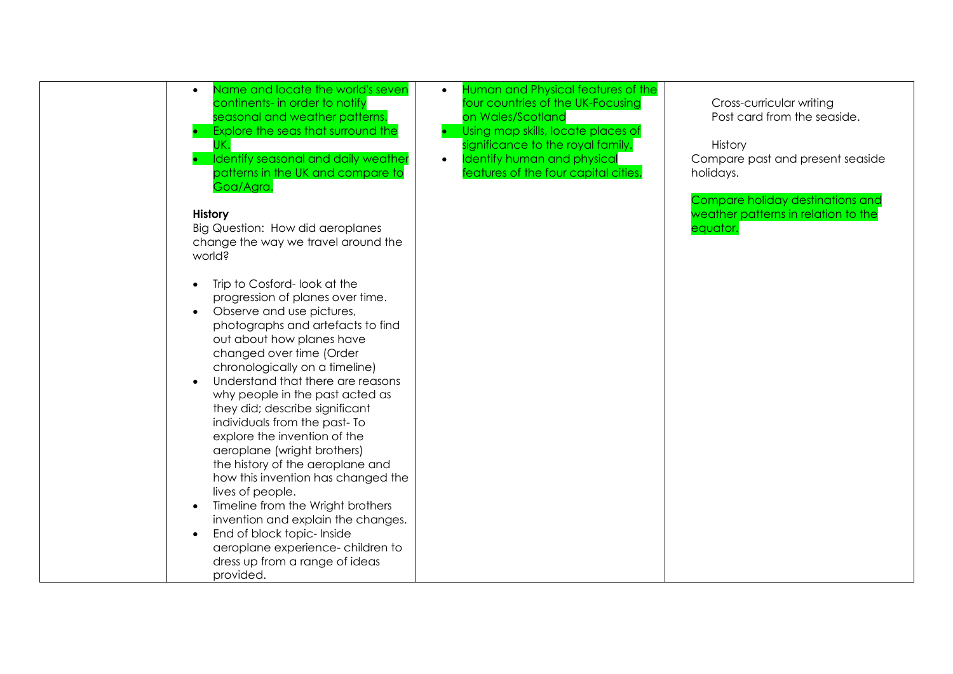| Name and locate the world's seven<br>continents- in order to notify<br>seasonal and weather patterns.<br>Explore the seas that surround the<br>IK.<br>Identify seasonal and daily weather<br>patterns in the UK and compare to<br>Goa/Agra.<br>History                                                                                                                                                                                                                                                                                                                                                                                                                                                                           | Human and Physical features of the<br>$\bullet$<br>four countries of the UK-Focusing<br>on Wales/Scotland<br>Using map skills, locate places of<br>significance to the royal family.<br>Identify human and physical<br>$\bullet$<br>features of the four capital cities. | Cross-curricular writing<br>Post card from the seaside.<br>History<br>Compare past and present seaside<br>holidays.<br>Compare holiday destinations and<br>weather patterns in relation to the |
|----------------------------------------------------------------------------------------------------------------------------------------------------------------------------------------------------------------------------------------------------------------------------------------------------------------------------------------------------------------------------------------------------------------------------------------------------------------------------------------------------------------------------------------------------------------------------------------------------------------------------------------------------------------------------------------------------------------------------------|--------------------------------------------------------------------------------------------------------------------------------------------------------------------------------------------------------------------------------------------------------------------------|------------------------------------------------------------------------------------------------------------------------------------------------------------------------------------------------|
| Big Question: How did aeroplanes<br>change the way we travel around the<br>world?                                                                                                                                                                                                                                                                                                                                                                                                                                                                                                                                                                                                                                                |                                                                                                                                                                                                                                                                          | equator.                                                                                                                                                                                       |
| Trip to Cosford-look at the<br>progression of planes over time.<br>Observe and use pictures,<br>photographs and artefacts to find<br>out about how planes have<br>changed over time (Order<br>chronologically on a timeline)<br>Understand that there are reasons<br>why people in the past acted as<br>they did; describe significant<br>individuals from the past-To<br>explore the invention of the<br>aeroplane (wright brothers)<br>the history of the aeroplane and<br>how this invention has changed the<br>lives of people.<br>Timeline from the Wright brothers<br>invention and explain the changes.<br>End of block topic- Inside<br>aeroplane experience- children to<br>dress up from a range of ideas<br>provided. |                                                                                                                                                                                                                                                                          |                                                                                                                                                                                                |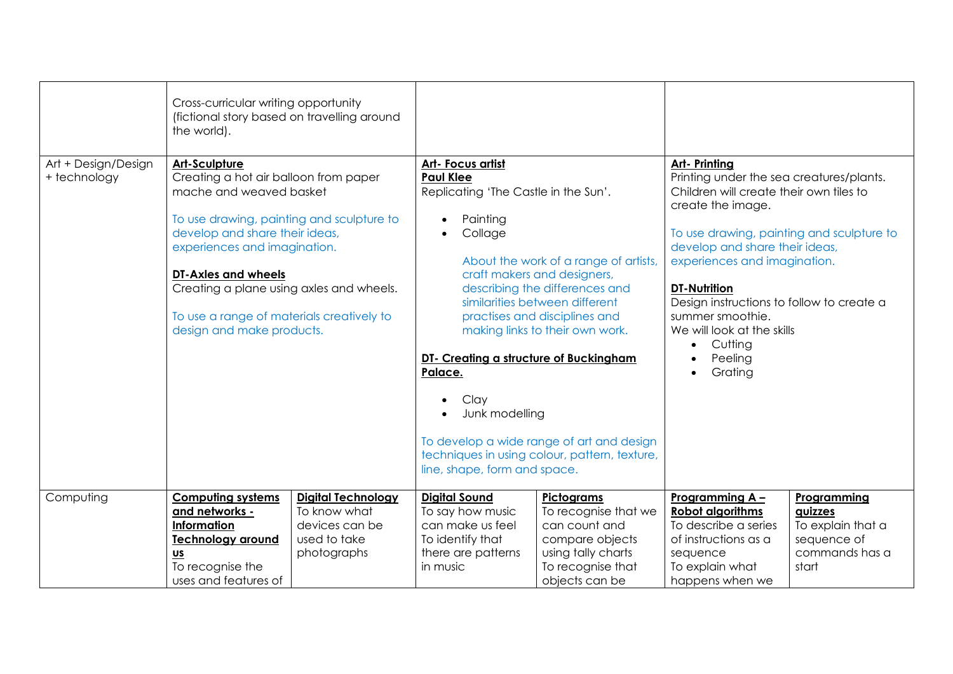|                                     | Cross-curricular writing opportunity                                                                                                                                                                                                                                                                                                                                                                        |                                                                                            |                                                                                                                                                                                                                                  |                                                                                                                                                                                                                                                                                                            |                                                                                                                                                                                                                                                                                                                                                                                                 |                                                                                       |
|-------------------------------------|-------------------------------------------------------------------------------------------------------------------------------------------------------------------------------------------------------------------------------------------------------------------------------------------------------------------------------------------------------------------------------------------------------------|--------------------------------------------------------------------------------------------|----------------------------------------------------------------------------------------------------------------------------------------------------------------------------------------------------------------------------------|------------------------------------------------------------------------------------------------------------------------------------------------------------------------------------------------------------------------------------------------------------------------------------------------------------|-------------------------------------------------------------------------------------------------------------------------------------------------------------------------------------------------------------------------------------------------------------------------------------------------------------------------------------------------------------------------------------------------|---------------------------------------------------------------------------------------|
|                                     |                                                                                                                                                                                                                                                                                                                                                                                                             |                                                                                            |                                                                                                                                                                                                                                  |                                                                                                                                                                                                                                                                                                            |                                                                                                                                                                                                                                                                                                                                                                                                 |                                                                                       |
| Art + Design/Design<br>+ technology | (fictional story based on travelling around<br>the world).<br>Art-Sculpture<br>Creating a hot air balloon from paper<br>mache and weaved basket<br>To use drawing, painting and sculpture to<br>develop and share their ideas,<br>experiences and imagination.<br>DT-Axles and wheels<br>Creating a plane using axles and wheels.<br>To use a range of materials creatively to<br>design and make products. |                                                                                            | Art- Focus artist<br><b>Paul Klee</b><br>Replicating 'The Castle in the Sun'.<br>Painting<br>Collage<br>$\bullet$<br>DT- Creating a structure of Buckingham<br>Palace.<br>Clay<br>Junk modelling<br>line, shape, form and space. | About the work of a range of artists,<br>craft makers and designers,<br>describing the differences and<br>similarities between different<br>practises and disciplines and<br>making links to their own work.<br>To develop a wide range of art and design<br>techniques in using colour, pattern, texture, | Art- Printing<br>Printing under the sea creatures/plants.<br>Children will create their own tiles to<br>create the image.<br>To use drawing, painting and sculpture to<br>develop and share their ideas,<br>experiences and imagination.<br><b>DT-Nutrition</b><br>Design instructions to follow to create a<br>summer smoothie.<br>We will look at the skills<br>Cutting<br>Peeling<br>Grating |                                                                                       |
| Computing                           | <b>Computing systems</b><br>and networks -<br>Information<br><b>Technology around</b><br>$us$<br>To recognise the<br>uses and features of                                                                                                                                                                                                                                                                   | <b>Digital Technology</b><br>To know what<br>devices can be<br>used to take<br>photographs | <b>Digital Sound</b><br>To say how music<br>can make us feel<br>To identify that<br>there are patterns<br>in music                                                                                                               | Pictograms<br>To recognise that we<br>can count and<br>compare objects<br>using tally charts<br>To recognise that<br>objects can be                                                                                                                                                                        | Programming A -<br><b>Robot algorithms</b><br>To describe a series<br>of instructions as a<br>sequence<br>To explain what<br>happens when we                                                                                                                                                                                                                                                    | Programming<br>quizzes<br>To explain that a<br>sequence of<br>commands has a<br>start |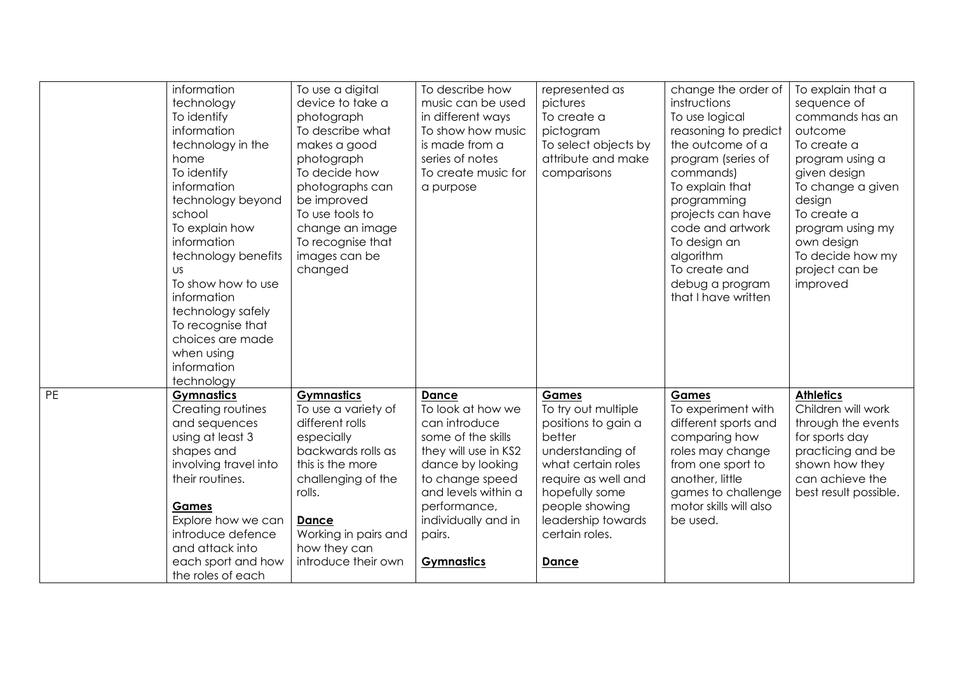|    | information<br>technology<br>To identify                                                                                                                                                                                                                                                                                 | To use a digital<br>device to take a<br>photograph                                                                                                                                                                                 | To describe how<br>music can be used<br>in different ways                                                                                                                                                                            | represented as<br>pictures<br>To create a                                                                                                                                                                                  | change the order of<br>instructions<br>To use logical                                                                                                                                                                                          | To explain that a<br>sequence of<br>commands has an                                                                                                                                         |
|----|--------------------------------------------------------------------------------------------------------------------------------------------------------------------------------------------------------------------------------------------------------------------------------------------------------------------------|------------------------------------------------------------------------------------------------------------------------------------------------------------------------------------------------------------------------------------|--------------------------------------------------------------------------------------------------------------------------------------------------------------------------------------------------------------------------------------|----------------------------------------------------------------------------------------------------------------------------------------------------------------------------------------------------------------------------|------------------------------------------------------------------------------------------------------------------------------------------------------------------------------------------------------------------------------------------------|---------------------------------------------------------------------------------------------------------------------------------------------------------------------------------------------|
|    | information<br>technology in the<br>home<br>To identify<br>information<br>technology beyond<br>school<br>To explain how<br>information<br>technology benefits<br><b>US</b><br>To show how to use<br>information<br>technology safely<br>To recognise that<br>choices are made<br>when using<br>information<br>technology | To describe what<br>makes a good<br>photograph<br>To decide how<br>photographs can<br>be improved<br>To use tools to<br>change an image<br>To recognise that<br>images can be<br>changed                                           | To show how music<br>is made from a<br>series of notes<br>To create music for<br>a purpose                                                                                                                                           | pictogram<br>To select objects by<br>attribute and make<br>comparisons                                                                                                                                                     | reasoning to predict<br>the outcome of a<br>program (series of<br>commands)<br>To explain that<br>programming<br>projects can have<br>code and artwork<br>To design an<br>algorithm<br>To create and<br>debug a program<br>that I have written | outcome<br>To create a<br>program using a<br>given design<br>To change a given<br>design<br>To create a<br>program using my<br>own design<br>To decide how my<br>project can be<br>improved |
| PE | <b>Gymnastics</b><br>Creating routines<br>and sequences<br>using at least 3<br>shapes and<br>involving travel into<br>their routines.<br><b>Games</b><br>Explore how we can<br>introduce defence<br>and attack into<br>each sport and how<br>the roles of each                                                           | <b>Gymnastics</b><br>To use a variety of<br>different rolls<br>especially<br>backwards rolls as<br>this is the more<br>challenging of the<br>rolls.<br><b>Dance</b><br>Working in pairs and<br>how they can<br>introduce their own | <b>Dance</b><br>To look at how we<br>can introduce<br>some of the skills<br>they will use in KS2<br>dance by looking<br>to change speed<br>and levels within a<br>performance,<br>individually and in<br>pairs.<br><b>Gymnastics</b> | Games<br>To try out multiple<br>positions to gain a<br>better<br>understanding of<br>what certain roles<br>require as well and<br>hopefully some<br>people showing<br>leadership towards<br>certain roles.<br><b>Dance</b> | Games<br>To experiment with<br>different sports and<br>comparing how<br>roles may change<br>from one sport to<br>another, little<br>games to challenge<br>motor skills will also<br>be used.                                                   | <b>Athletics</b><br>Children will work<br>through the events<br>for sports day<br>practicing and be<br>shown how they<br>can achieve the<br>best result possible.                           |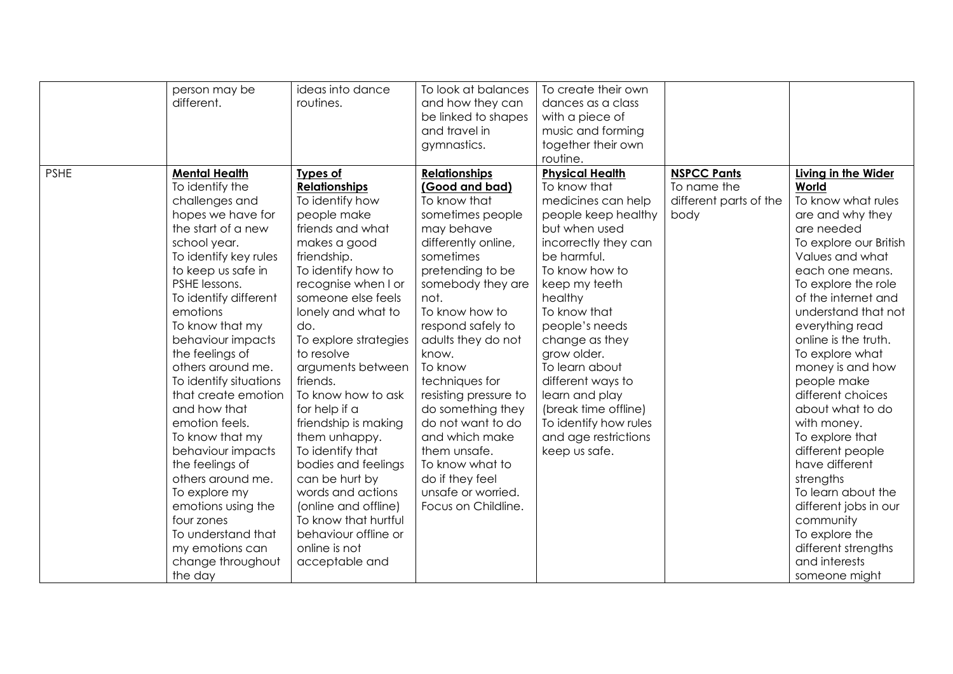|             | person may be<br>different.                                                                                                                                                                                                                                                                                                                                                                                                                                                                                                                                                                                | ideas into dance<br>routines.                                                                                                                                                                                                                                                                                                                                                                                                                                                                                                                                                     | To look at balances<br>and how they can<br>be linked to shapes<br>and travel in<br>gymnastics.                                                                                                                                                                                                                                                                                                                                                                           | To create their own<br>dances as a class<br>with a piece of<br>music and forming<br>together their own<br>routine.                                                                                                                                                                                                                                                                                              |                                                                     |                                                                                                                                                                                                                                                                                                                                                                                                                                                                                                                                                                                                 |
|-------------|------------------------------------------------------------------------------------------------------------------------------------------------------------------------------------------------------------------------------------------------------------------------------------------------------------------------------------------------------------------------------------------------------------------------------------------------------------------------------------------------------------------------------------------------------------------------------------------------------------|-----------------------------------------------------------------------------------------------------------------------------------------------------------------------------------------------------------------------------------------------------------------------------------------------------------------------------------------------------------------------------------------------------------------------------------------------------------------------------------------------------------------------------------------------------------------------------------|--------------------------------------------------------------------------------------------------------------------------------------------------------------------------------------------------------------------------------------------------------------------------------------------------------------------------------------------------------------------------------------------------------------------------------------------------------------------------|-----------------------------------------------------------------------------------------------------------------------------------------------------------------------------------------------------------------------------------------------------------------------------------------------------------------------------------------------------------------------------------------------------------------|---------------------------------------------------------------------|-------------------------------------------------------------------------------------------------------------------------------------------------------------------------------------------------------------------------------------------------------------------------------------------------------------------------------------------------------------------------------------------------------------------------------------------------------------------------------------------------------------------------------------------------------------------------------------------------|
| <b>PSHE</b> | <b>Mental Health</b><br>To identify the<br>challenges and<br>hopes we have for<br>the start of a new<br>school year.<br>To identify key rules<br>to keep us safe in<br>PSHE lessons.<br>To identify different<br>emotions<br>To know that my<br>behaviour impacts<br>the feelings of<br>others around me.<br>To identify situations<br>that create emotion<br>and how that<br>emotion feels.<br>To know that my<br>behaviour impacts<br>the feelings of<br>others around me.<br>To explore my<br>emotions using the<br>four zones<br>To understand that<br>my emotions can<br>change throughout<br>the day | <b>Types of</b><br><b>Relationships</b><br>To identify how<br>people make<br>friends and what<br>makes a good<br>friendship.<br>To identify how to<br>recognise when I or<br>someone else feels<br>lonely and what to<br>do.<br>To explore strategies<br>to resolve<br>arguments between<br>friends.<br>To know how to ask<br>for help if a<br>friendship is making<br>them unhappy.<br>To identify that<br>bodies and feelings<br>can be hurt by<br>words and actions<br>(online and offline)<br>To know that hurtful<br>behaviour offline or<br>online is not<br>acceptable and | <b>Relationships</b><br>(Good and bad)<br>To know that<br>sometimes people<br>may behave<br>differently online,<br>sometimes<br>pretending to be<br>somebody they are<br>not.<br>To know how to<br>respond safely to<br>adults they do not<br>know.<br>To know<br>techniques for<br>resisting pressure to<br>do something they<br>do not want to do<br>and which make<br>them unsafe.<br>To know what to<br>do if they feel<br>unsafe or worried.<br>Focus on Childline. | <b>Physical Health</b><br>To know that<br>medicines can help<br>people keep healthy<br>but when used<br>incorrectly they can<br>be harmful.<br>To know how to<br>keep my teeth<br>healthy<br>To know that<br>people's needs<br>change as they<br>grow older.<br>To learn about<br>different ways to<br>learn and play<br>(break time offline)<br>To identify how rules<br>and age restrictions<br>keep us safe. | <b>NSPCC Pants</b><br>To name the<br>different parts of the<br>body | Living in the Wider<br>World<br>To know what rules<br>are and why they<br>are needed<br>To explore our British<br>Values and what<br>each one means.<br>To explore the role<br>of the internet and<br>understand that not<br>everything read<br>online is the truth.<br>To explore what<br>money is and how<br>people make<br>different choices<br>about what to do<br>with money.<br>To explore that<br>different people<br>have different<br>strengths<br>To learn about the<br>different jobs in our<br>community<br>To explore the<br>different strengths<br>and interests<br>someone might |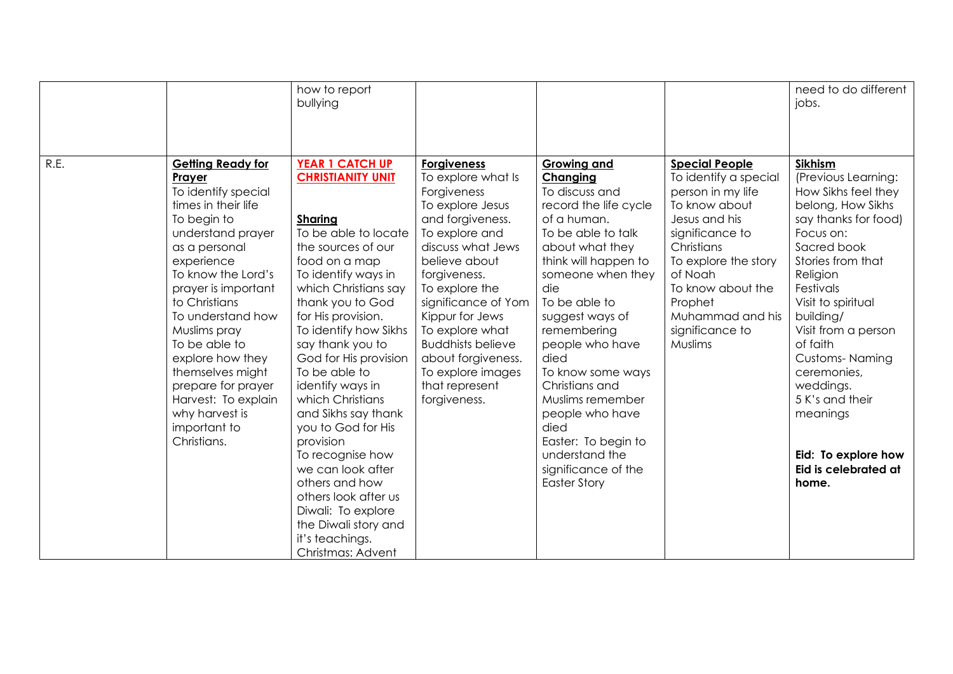|      |                                                                                                                                                                                                                                                                                                                                                                                                               | how to report<br>bullying                                                                                                                                                                                                                                                                                                                                                                                                                                                                                                                                                                      |                                                                                                                                                                                                                                                                                                                                                                 |                                                                                                                                                                                                                                                                                                                                                                                                                                                  |                                                                                                                                                                                                                                                             | need to do different<br>jobs.                                                                                                                                                                                                                                                                                                                                                                  |
|------|---------------------------------------------------------------------------------------------------------------------------------------------------------------------------------------------------------------------------------------------------------------------------------------------------------------------------------------------------------------------------------------------------------------|------------------------------------------------------------------------------------------------------------------------------------------------------------------------------------------------------------------------------------------------------------------------------------------------------------------------------------------------------------------------------------------------------------------------------------------------------------------------------------------------------------------------------------------------------------------------------------------------|-----------------------------------------------------------------------------------------------------------------------------------------------------------------------------------------------------------------------------------------------------------------------------------------------------------------------------------------------------------------|--------------------------------------------------------------------------------------------------------------------------------------------------------------------------------------------------------------------------------------------------------------------------------------------------------------------------------------------------------------------------------------------------------------------------------------------------|-------------------------------------------------------------------------------------------------------------------------------------------------------------------------------------------------------------------------------------------------------------|------------------------------------------------------------------------------------------------------------------------------------------------------------------------------------------------------------------------------------------------------------------------------------------------------------------------------------------------------------------------------------------------|
| R.E. | <b>Getting Ready for</b><br>Prayer<br>To identify special<br>times in their life<br>To begin to<br>understand prayer<br>as a personal<br>experience<br>To know the Lord's<br>prayer is important<br>to Christians<br>To understand how<br>Muslims pray<br>To be able to<br>explore how they<br>themselves might<br>prepare for prayer<br>Harvest: To explain<br>why harvest is<br>important to<br>Christians. | <b>YEAR 1 CATCH UP</b><br><b>CHRISTIANITY UNIT</b><br><b>Sharing</b><br>To be able to locate<br>the sources of our<br>food on a map<br>To identify ways in<br>which Christians say<br>thank you to God<br>for His provision.<br>To identify how Sikhs<br>say thank you to<br>God for His provision<br>To be able to<br>identify ways in<br>which Christians<br>and Sikhs say thank<br>you to God for His<br>provision<br>To recognise how<br>we can look after<br>others and how<br>others look after us<br>Diwali: To explore<br>the Diwali story and<br>it's teachings.<br>Christmas: Advent | <b>Forgiveness</b><br>To explore what Is<br>Forgiveness<br>To explore Jesus<br>and forgiveness.<br>To explore and<br>discuss what Jews<br>believe about<br>forgiveness.<br>To explore the<br>significance of Yom<br>Kippur for Jews<br>To explore what<br><b>Buddhists believe</b><br>about forgiveness.<br>To explore images<br>that represent<br>forgiveness. | <b>Growing and</b><br>Changing<br>To discuss and<br>record the life cycle<br>of a human.<br>To be able to talk<br>about what they<br>think will happen to<br>someone when they<br>die<br>To be able to<br>suggest ways of<br>remembering<br>people who have<br>died<br>To know some ways<br>Christians and<br>Muslims remember<br>people who have<br>died<br>Easter: To begin to<br>understand the<br>significance of the<br><b>Easter Story</b> | <b>Special People</b><br>To identify a special<br>person in my life<br>To know about<br>Jesus and his<br>significance to<br>Christians<br>To explore the story<br>of Noah<br>To know about the<br>Prophet<br>Muhammad and his<br>significance to<br>Muslims | Sikhism<br>(Previous Learning:<br>How Sikhs feel they<br>belong, How Sikhs<br>say thanks for food)<br>Focus on:<br>Sacred book<br>Stories from that<br>Religion<br>Festivals<br>Visit to spiritual<br>building/<br>Visit from a person<br>of faith<br><b>Customs-Naming</b><br>ceremonies,<br>weddings.<br>5 K's and their<br>meanings<br>Eid: To explore how<br>Eid is celebrated at<br>home. |